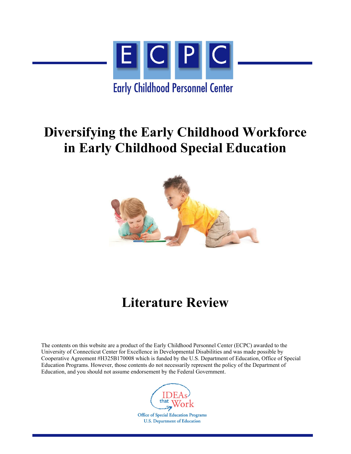

## **Diversifying the Early Childhood Workforce in Early Childhood Special Education**



# **Literature Review**

The contents on this website are a product of the Early Childhood Personnel Center (ECPC) awarded to the University of Connecticut Center for Excellence in Developmental Disabilities and was made possible by Cooperative Agreement #H325B170008 which is funded by the U.S. Department of Education, Office of Special Education Programs. However, those contents do not necessarily represent the policy of the Department of Education, and you should not assume endorsement by the Federal Government.



**Office of Special Education Programs U.S. Department of Education**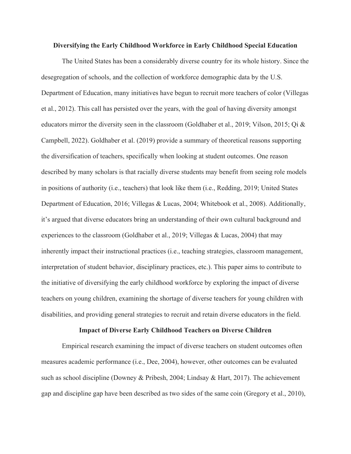#### **Diversifying the Early Childhood Workforce in Early Childhood Special Education**

The United States has been a considerably diverse country for its whole history. Since the desegregation of schools, and the collection of workforce demographic data by the U.S. Department of Education, many initiatives have begun to recruit more teachers of color (Villegas et al., 2012). This call has persisted over the years, with the goal of having diversity amongst educators mirror the diversity seen in the classroom (Goldhaber et al., 2019; Vilson, 2015; Qi & Campbell, 2022). Goldhaber et al. (2019) provide a summary of theoretical reasons supporting the diversification of teachers, specifically when looking at student outcomes. One reason described by many scholars is that racially diverse students may benefit from seeing role models in positions of authority (i.e., teachers) that look like them (i.e., Redding, 2019; United States Department of Education, 2016; Villegas & Lucas, 2004; Whitebook et al., 2008). Additionally, it's argued that diverse educators bring an understanding of their own cultural background and experiences to the classroom (Goldhaber et al., 2019; Villegas & Lucas, 2004) that may inherently impact their instructional practices (i.e., teaching strategies, classroom management, interpretation of student behavior, disciplinary practices, etc.). This paper aims to contribute to the initiative of diversifying the early childhood workforce by exploring the impact of diverse teachers on young children, examining the shortage of diverse teachers for young children with disabilities, and providing general strategies to recruit and retain diverse educators in the field.

#### **Impact of Diverse Early Childhood Teachers on Diverse Children**

Empirical research examining the impact of diverse teachers on student outcomes often measures academic performance (i.e., Dee, 2004), however, other outcomes can be evaluated such as school discipline (Downey & Pribesh, 2004; Lindsay & Hart, 2017). The achievement gap and discipline gap have been described as two sides of the same coin (Gregory et al., 2010),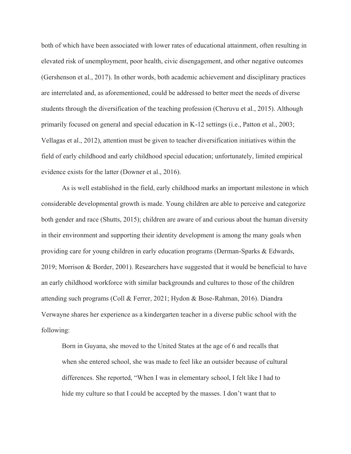both of which have been associated with lower rates of educational attainment, often resulting in elevated risk of unemployment, poor health, civic disengagement, and other negative outcomes (Gershenson et al., 2017). In other words, both academic achievement and disciplinary practices are interrelated and, as aforementioned, could be addressed to better meet the needs of diverse students through the diversification of the teaching profession (Cheruvu et al., 2015). Although primarily focused on general and special education in K-12 settings (i.e., Patton et al., 2003; Vellagas et al., 2012), attention must be given to teacher diversification initiatives within the field of early childhood and early childhood special education; unfortunately, limited empirical evidence exists for the latter (Downer et al., 2016).

As is well established in the field, early childhood marks an important milestone in which considerable developmental growth is made. Young children are able to perceive and categorize both gender and race (Shutts, 2015); children are aware of and curious about the human diversity in their environment and supporting their identity development is among the many goals when providing care for young children in early education programs (Derman-Sparks & Edwards, 2019; Morrison & Border, 2001). Researchers have suggested that it would be beneficial to have an early childhood workforce with similar backgrounds and cultures to those of the children attending such programs (Coll & Ferrer, 2021; Hydon & Bose-Rahman, 2016). Diandra Verwayne shares her experience as a kindergarten teacher in a diverse public school with the following:

Born in Guyana, she moved to the United States at the age of 6 and recalls that when she entered school, she was made to feel like an outsider because of cultural differences. She reported, "When I was in elementary school, I felt like I had to hide my culture so that I could be accepted by the masses. I don't want that to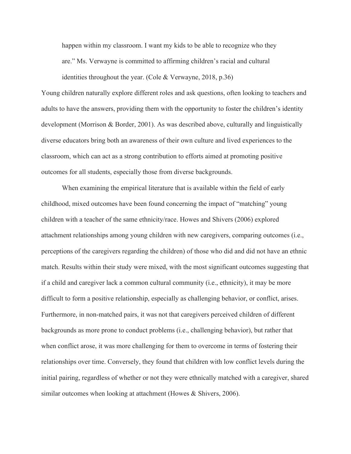happen within my classroom. I want my kids to be able to recognize who they are." Ms. Verwayne is committed to affirming children's racial and cultural identities throughout the year. (Cole & Verwayne, 2018, p.36)

Young children naturally explore different roles and ask questions, often looking to teachers and adults to have the answers, providing them with the opportunity to foster the children's identity development (Morrison & Border, 2001). As was described above, culturally and linguistically diverse educators bring both an awareness of their own culture and lived experiences to the classroom, which can act as a strong contribution to efforts aimed at promoting positive outcomes for all students, especially those from diverse backgrounds.

When examining the empirical literature that is available within the field of early childhood, mixed outcomes have been found concerning the impact of "matching" young children with a teacher of the same ethnicity/race. Howes and Shivers (2006) explored attachment relationships among young children with new caregivers, comparing outcomes (i.e., perceptions of the caregivers regarding the children) of those who did and did not have an ethnic match. Results within their study were mixed, with the most significant outcomes suggesting that if a child and caregiver lack a common cultural community (i.e., ethnicity), it may be more difficult to form a positive relationship, especially as challenging behavior, or conflict, arises. Furthermore, in non-matched pairs, it was not that caregivers perceived children of different backgrounds as more prone to conduct problems (i.e., challenging behavior), but rather that when conflict arose, it was more challenging for them to overcome in terms of fostering their relationships over time. Conversely, they found that children with low conflict levels during the initial pairing, regardless of whether or not they were ethnically matched with a caregiver, shared similar outcomes when looking at attachment (Howes & Shivers, 2006).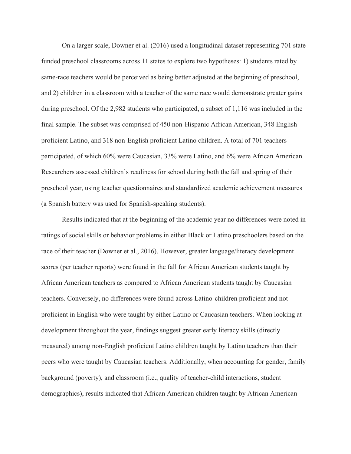On a larger scale, Downer et al. (2016) used a longitudinal dataset representing 701 statefunded preschool classrooms across 11 states to explore two hypotheses: 1) students rated by same-race teachers would be perceived as being better adjusted at the beginning of preschool, and 2) children in a classroom with a teacher of the same race would demonstrate greater gains during preschool. Of the 2,982 students who participated, a subset of 1,116 was included in the final sample. The subset was comprised of 450 non-Hispanic African American, 348 Englishproficient Latino, and 318 non-English proficient Latino children. A total of 701 teachers participated, of which 60% were Caucasian, 33% were Latino, and 6% were African American. Researchers assessed children's readiness for school during both the fall and spring of their preschool year, using teacher questionnaires and standardized academic achievement measures (a Spanish battery was used for Spanish-speaking students).

Results indicated that at the beginning of the academic year no differences were noted in ratings of social skills or behavior problems in either Black or Latino preschoolers based on the race of their teacher (Downer et al., 2016). However, greater language/literacy development scores (per teacher reports) were found in the fall for African American students taught by African American teachers as compared to African American students taught by Caucasian teachers. Conversely, no differences were found across Latino-children proficient and not proficient in English who were taught by either Latino or Caucasian teachers. When looking at development throughout the year, findings suggest greater early literacy skills (directly measured) among non-English proficient Latino children taught by Latino teachers than their peers who were taught by Caucasian teachers. Additionally, when accounting for gender, family background (poverty), and classroom (i.e., quality of teacher-child interactions, student demographics), results indicated that African American children taught by African American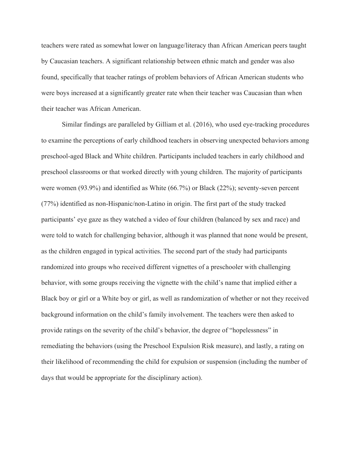teachers were rated as somewhat lower on language/literacy than African American peers taught by Caucasian teachers. A significant relationship between ethnic match and gender was also found, specifically that teacher ratings of problem behaviors of African American students who were boys increased at a significantly greater rate when their teacher was Caucasian than when their teacher was African American.

Similar findings are paralleled by Gilliam et al. (2016), who used eye-tracking procedures to examine the perceptions of early childhood teachers in observing unexpected behaviors among preschool-aged Black and White children. Participants included teachers in early childhood and preschool classrooms or that worked directly with young children. The majority of participants were women (93.9%) and identified as White (66.7%) or Black (22%); seventy-seven percent (77%) identified as non-Hispanic/non-Latino in origin. The first part of the study tracked participants' eye gaze as they watched a video of four children (balanced by sex and race) and were told to watch for challenging behavior, although it was planned that none would be present, as the children engaged in typical activities. The second part of the study had participants randomized into groups who received different vignettes of a preschooler with challenging behavior, with some groups receiving the vignette with the child's name that implied either a Black boy or girl or a White boy or girl, as well as randomization of whether or not they received background information on the child's family involvement. The teachers were then asked to provide ratings on the severity of the child's behavior, the degree of "hopelessness" in remediating the behaviors (using the Preschool Expulsion Risk measure), and lastly, a rating on their likelihood of recommending the child for expulsion or suspension (including the number of days that would be appropriate for the disciplinary action).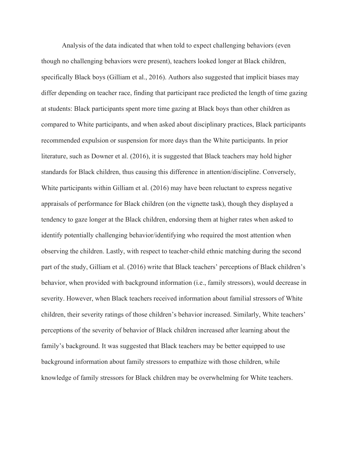Analysis of the data indicated that when told to expect challenging behaviors (even though no challenging behaviors were present), teachers looked longer at Black children, specifically Black boys (Gilliam et al., 2016). Authors also suggested that implicit biases may differ depending on teacher race, finding that participant race predicted the length of time gazing at students: Black participants spent more time gazing at Black boys than other children as compared to White participants, and when asked about disciplinary practices, Black participants recommended expulsion or suspension for more days than the White participants. In prior literature, such as Downer et al. (2016), it is suggested that Black teachers may hold higher standards for Black children, thus causing this difference in attention/discipline. Conversely, White participants within Gilliam et al. (2016) may have been reluctant to express negative appraisals of performance for Black children (on the vignette task), though they displayed a tendency to gaze longer at the Black children, endorsing them at higher rates when asked to identify potentially challenging behavior/identifying who required the most attention when observing the children. Lastly, with respect to teacher-child ethnic matching during the second part of the study, Gilliam et al. (2016) write that Black teachers' perceptions of Black children's behavior, when provided with background information (i.e., family stressors), would decrease in severity. However, when Black teachers received information about familial stressors of White children, their severity ratings of those children's behavior increased. Similarly, White teachers' perceptions of the severity of behavior of Black children increased after learning about the family's background. It was suggested that Black teachers may be better equipped to use background information about family stressors to empathize with those children, while knowledge of family stressors for Black children may be overwhelming for White teachers.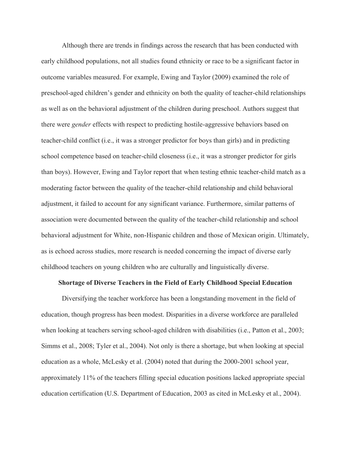Although there are trends in findings across the research that has been conducted with early childhood populations, not all studies found ethnicity or race to be a significant factor in outcome variables measured. For example, Ewing and Taylor (2009) examined the role of preschool-aged children's gender and ethnicity on both the quality of teacher-child relationships as well as on the behavioral adjustment of the children during preschool. Authors suggest that there were *gender* effects with respect to predicting hostile-aggressive behaviors based on teacher-child conflict (i.e., it was a stronger predictor for boys than girls) and in predicting school competence based on teacher-child closeness (i.e., it was a stronger predictor for girls than boys). However, Ewing and Taylor report that when testing ethnic teacher-child match as a moderating factor between the quality of the teacher-child relationship and child behavioral adjustment, it failed to account for any significant variance. Furthermore, similar patterns of association were documented between the quality of the teacher-child relationship and school behavioral adjustment for White, non-Hispanic children and those of Mexican origin. Ultimately, as is echoed across studies, more research is needed concerning the impact of diverse early childhood teachers on young children who are culturally and linguistically diverse.

#### **Shortage of Diverse Teachers in the Field of Early Childhood Special Education**

Diversifying the teacher workforce has been a longstanding movement in the field of education, though progress has been modest. Disparities in a diverse workforce are paralleled when looking at teachers serving school-aged children with disabilities (i.e., Patton et al., 2003; Simms et al., 2008; Tyler et al., 2004). Not only is there a shortage, but when looking at special education as a whole, McLesky et al. (2004) noted that during the 2000-2001 school year, approximately 11% of the teachers filling special education positions lacked appropriate special education certification (U.S. Department of Education, 2003 as cited in McLesky et al., 2004).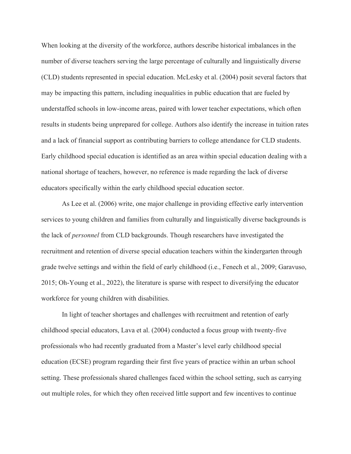When looking at the diversity of the workforce, authors describe historical imbalances in the number of diverse teachers serving the large percentage of culturally and linguistically diverse (CLD) students represented in special education. McLesky et al. (2004) posit several factors that may be impacting this pattern, including inequalities in public education that are fueled by understaffed schools in low-income areas, paired with lower teacher expectations, which often results in students being unprepared for college. Authors also identify the increase in tuition rates and a lack of financial support as contributing barriers to college attendance for CLD students. Early childhood special education is identified as an area within special education dealing with a national shortage of teachers, however, no reference is made regarding the lack of diverse educators specifically within the early childhood special education sector.

As Lee et al. (2006) write, one major challenge in providing effective early intervention services to young children and families from culturally and linguistically diverse backgrounds is the lack of *personnel* from CLD backgrounds. Though researchers have investigated the recruitment and retention of diverse special education teachers within the kindergarten through grade twelve settings and within the field of early childhood (i.e., Fenech et al., 2009; Garavuso, 2015; Oh-Young et al., 2022), the literature is sparse with respect to diversifying the educator workforce for young children with disabilities.

In light of teacher shortages and challenges with recruitment and retention of early childhood special educators, Lava et al. (2004) conducted a focus group with twenty-five professionals who had recently graduated from a Master's level early childhood special education (ECSE) program regarding their first five years of practice within an urban school setting. These professionals shared challenges faced within the school setting, such as carrying out multiple roles, for which they often received little support and few incentives to continue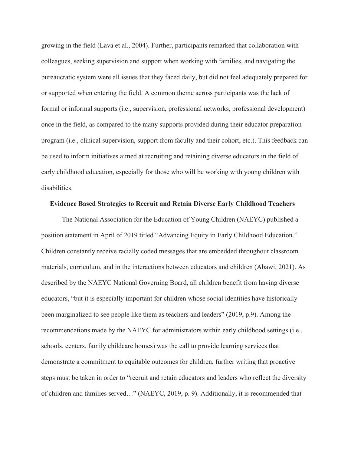growing in the field (Lava et al., 2004). Further, participants remarked that collaboration with colleagues, seeking supervision and support when working with families, and navigating the bureaucratic system were all issues that they faced daily, but did not feel adequately prepared for or supported when entering the field. A common theme across participants was the lack of formal or informal supports (i.e., supervision, professional networks, professional development) once in the field, as compared to the many supports provided during their educator preparation program (i.e., clinical supervision, support from faculty and their cohort, etc.). This feedback can be used to inform initiatives aimed at recruiting and retaining diverse educators in the field of early childhood education, especially for those who will be working with young children with disabilities.

#### **Evidence Based Strategies to Recruit and Retain Diverse Early Childhood Teachers**

The National Association for the Education of Young Children (NAEYC) published a position statement in April of 2019 titled "Advancing Equity in Early Childhood Education." Children constantly receive racially coded messages that are embedded throughout classroom materials, curriculum, and in the interactions between educators and children (Abawi, 2021). As described by the NAEYC National Governing Board, all children benefit from having diverse educators, "but it is especially important for children whose social identities have historically been marginalized to see people like them as teachers and leaders" (2019, p.9). Among the recommendations made by the NAEYC for administrators within early childhood settings (i.e., schools, centers, family childcare homes) was the call to provide learning services that demonstrate a commitment to equitable outcomes for children, further writing that proactive steps must be taken in order to "recruit and retain educators and leaders who reflect the diversity of children and families served…" (NAEYC, 2019, p. 9). Additionally, it is recommended that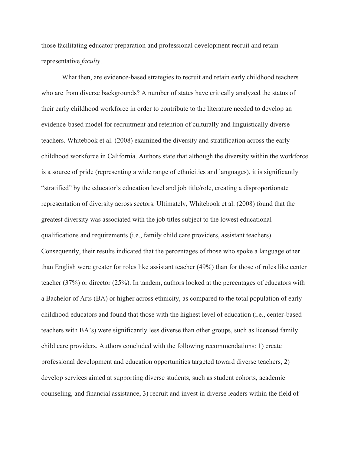those facilitating educator preparation and professional development recruit and retain representative *faculty*.

What then, are evidence-based strategies to recruit and retain early childhood teachers who are from diverse backgrounds? A number of states have critically analyzed the status of their early childhood workforce in order to contribute to the literature needed to develop an evidence-based model for recruitment and retention of culturally and linguistically diverse teachers. Whitebook et al. (2008) examined the diversity and stratification across the early childhood workforce in California. Authors state that although the diversity within the workforce is a source of pride (representing a wide range of ethnicities and languages), it is significantly "stratified" by the educator's education level and job title/role, creating a disproportionate representation of diversity across sectors. Ultimately, Whitebook et al. (2008) found that the greatest diversity was associated with the job titles subject to the lowest educational qualifications and requirements (i.e., family child care providers, assistant teachers). Consequently, their results indicated that the percentages of those who spoke a language other than English were greater for roles like assistant teacher (49%) than for those of roles like center teacher (37%) or director (25%). In tandem, authors looked at the percentages of educators with a Bachelor of Arts (BA) or higher across ethnicity, as compared to the total population of early childhood educators and found that those with the highest level of education (i.e., center-based teachers with BA's) were significantly less diverse than other groups, such as licensed family child care providers. Authors concluded with the following recommendations: 1) create professional development and education opportunities targeted toward diverse teachers, 2) develop services aimed at supporting diverse students, such as student cohorts, academic counseling, and financial assistance, 3) recruit and invest in diverse leaders within the field of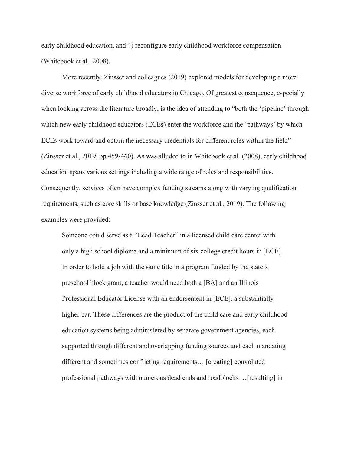early childhood education, and 4) reconfigure early childhood workforce compensation (Whitebook et al., 2008).

More recently, Zinsser and colleagues (2019) explored models for developing a more diverse workforce of early childhood educators in Chicago. Of greatest consequence, especially when looking across the literature broadly, is the idea of attending to "both the 'pipeline' through which new early childhood educators (ECEs) enter the workforce and the 'pathways' by which ECEs work toward and obtain the necessary credentials for different roles within the field" (Zinsser et al., 2019, pp.459-460). As was alluded to in Whitebook et al. (2008), early childhood education spans various settings including a wide range of roles and responsibilities. Consequently, services often have complex funding streams along with varying qualification requirements, such as core skills or base knowledge (Zinsser et al., 2019). The following examples were provided:

Someone could serve as a "Lead Teacher" in a licensed child care center with only a high school diploma and a minimum of six college credit hours in [ECE]. In order to hold a job with the same title in a program funded by the state's preschool block grant, a teacher would need both a [BA] and an Illinois Professional Educator License with an endorsement in [ECE], a substantially higher bar. These differences are the product of the child care and early childhood education systems being administered by separate government agencies, each supported through different and overlapping funding sources and each mandating different and sometimes conflicting requirements… [creating] convoluted professional pathways with numerous dead ends and roadblocks …[resulting] in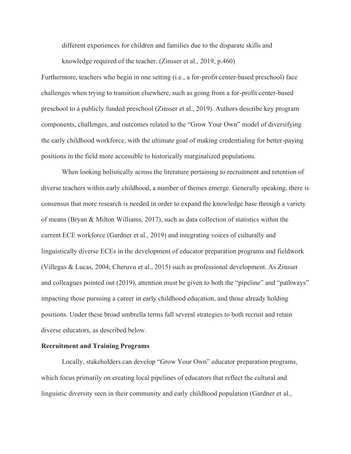different experiences for children and families due to the disparate skills and

knowledge required of the teacher. (Zinsser et al., 2019, p.460)

Furthermore, teachers who begin in one setting (i.e., a for-profit center-based preschool) face challenges when trying to transition elsewhere, such as going from a for-profit center-based preschool to a publicly funded preschool (Zinsser et al., 2019). Authors describe key program components, challenges, and outcomes related to the "Grow Your Own" model of diversifying the early childhood workforce, with the ultimate goal of making credentialing for better-paying positions in the field more accessible to historically marginalized populations.

When looking holistically across the literature pertaining to recruitment and retention of diverse teachers within early childhood, a number of themes emerge. Generally speaking, there is consensus that more research is needed in order to expand the knowledge base through a variety of means (Bryan & Milton Williams, 2017), such as data collection of statistics within the current ECE workforce (Gardner et al., 2019) and integrating voices of culturally and linguistically diverse ECEs in the development of educator preparation programs and fieldwork (Villegas & Lucas, 2004; Cheruvu et al., 2015) such as professional development. As Zinsser and colleagues pointed out (2019), attention must be given to both the "pipeline" and "pathways" impacting those pursuing a career in early childhood education, and those already holding positions. Under these broad umbrella terms fall several strategies to both recruit and retain diverse educators, as described below.

#### **Recruitment and Training Programs**

Locally, stakeholders can develop "Grow Your Own" educator preparation programs, which focus primarily on creating local pipelines of educators that reflect the cultural and linguistic diversity seen in their community and early childhood population (Gardner et al.,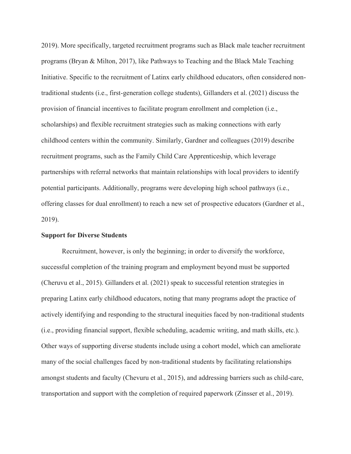2019). More specifically, targeted recruitment programs such as Black male teacher recruitment programs (Bryan & Milton, 2017), like Pathways to Teaching and the Black Male Teaching Initiative. Specific to the recruitment of Latinx early childhood educators, often considered nontraditional students (i.e., first-generation college students), Gillanders et al. (2021) discuss the provision of financial incentives to facilitate program enrollment and completion (i.e., scholarships) and flexible recruitment strategies such as making connections with early childhood centers within the community. Similarly, Gardner and colleagues (2019) describe recruitment programs, such as the Family Child Care Apprenticeship, which leverage partnerships with referral networks that maintain relationships with local providers to identify potential participants. Additionally, programs were developing high school pathways (i.e., offering classes for dual enrollment) to reach a new set of prospective educators (Gardner et al., 2019).

### **Support for Diverse Students**

Recruitment, however, is only the beginning; in order to diversify the workforce, successful completion of the training program and employment beyond must be supported (Cheruvu et al., 2015). Gillanders et al. (2021) speak to successful retention strategies in preparing Latinx early childhood educators, noting that many programs adopt the practice of actively identifying and responding to the structural inequities faced by non-traditional students (i.e., providing financial support, flexible scheduling, academic writing, and math skills, etc.). Other ways of supporting diverse students include using a cohort model, which can ameliorate many of the social challenges faced by non-traditional students by facilitating relationships amongst students and faculty (Chevuru et al., 2015), and addressing barriers such as child-care, transportation and support with the completion of required paperwork (Zinsser et al., 2019).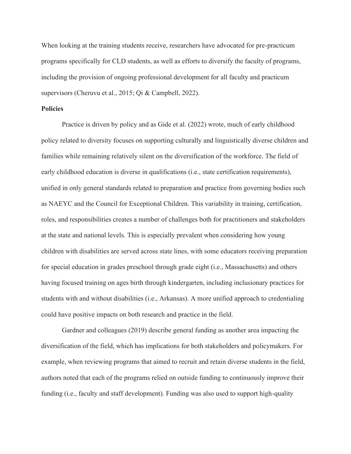When looking at the training students receive, researchers have advocated for pre-practicum programs specifically for CLD students, as well as efforts to diversify the faculty of programs, including the provision of ongoing professional development for all faculty and practicum supervisors (Cheruvu et al., 2015; Qi & Campbell, 2022).

#### **Policies**

Practice is driven by policy and as Gide et al. (2022) wrote, much of early childhood policy related to diversity focuses on supporting culturally and linguistically diverse children and families while remaining relatively silent on the diversification of the workforce. The field of early childhood education is diverse in qualifications (i.e., state certification requirements), unified in only general standards related to preparation and practice from governing bodies such as NAEYC and the Council for Exceptional Children. This variability in training, certification, roles, and responsibilities creates a number of challenges both for practitioners and stakeholders at the state and national levels. This is especially prevalent when considering how young children with disabilities are served across state lines, with some educators receiving preparation for special education in grades preschool through grade eight (i.e., Massachusetts) and others having focused training on ages birth through kindergarten, including inclusionary practices for students with and without disabilities (i.e., Arkansas). A more unified approach to credentialing could have positive impacts on both research and practice in the field.

Gardner and colleagues (2019) describe general funding as another area impacting the diversification of the field, which has implications for both stakeholders and policymakers. For example, when reviewing programs that aimed to recruit and retain diverse students in the field, authors noted that each of the programs relied on outside funding to continuously improve their funding (i.e., faculty and staff development). Funding was also used to support high-quality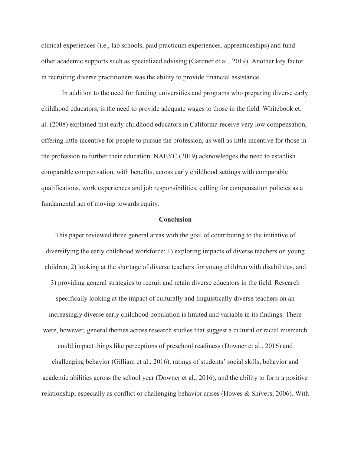clinical experiences (i.e., lab schools, paid practicum experiences, apprenticeships) and fund other academic supports such as specialized advising (Gardner et al., 2019). Another key factor in recruiting diverse practitioners was the ability to provide financial assistance.

In addition to the need for funding universities and programs who preparing diverse early childhood educators, is the need to provide adequate wages to those in the field. Whitebook et. al. (2008) explained that early childhood educators in California receive very low compensation, offering little incentive for people to pursue the profession, as well as little incentive for those in the profession to further their education. NAEYC (2019) acknowledges the need to establish comparable compensation, with benefits, across early childhood settings with comparable qualifications, work experiences and job responsibilities, calling for compensation policies as a fundamental act of moving towards equity.

#### **Conclusion**

This paper reviewed three general areas with the goal of contributing to the initiative of diversifying the early childhood workforce: 1) exploring impacts of diverse teachers on young children, 2) looking at the shortage of diverse teachers for young children with disabilities, and 3) providing general strategies to recruit and retain diverse educators in the field. Research specifically looking at the impact of culturally and linguistically diverse teachers on an increasingly diverse early childhood population is limited and variable in its findings. There were, however, general themes across research studies that suggest a cultural or racial mismatch could impact things like perceptions of preschool readiness (Downer et al., 2016) and challenging behavior (Gilliam et al., 2016), ratings of students' social skills, behavior and

relationship, especially as conflict or challenging behavior arises (Howes & Shivers, 2006). With

academic abilities across the school year (Downer et al., 2016), and the ability to form a positive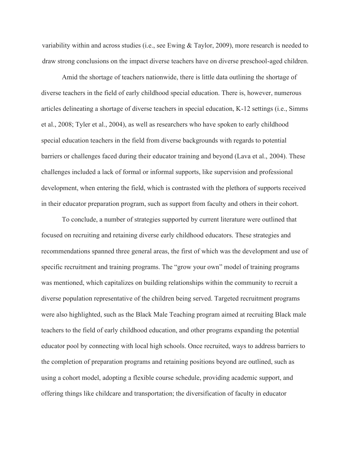variability within and across studies (i.e., see Ewing & Taylor, 2009), more research is needed to draw strong conclusions on the impact diverse teachers have on diverse preschool-aged children.

Amid the shortage of teachers nationwide, there is little data outlining the shortage of diverse teachers in the field of early childhood special education. There is, however, numerous articles delineating a shortage of diverse teachers in special education, K-12 settings (i.e., Simms et al., 2008; Tyler et al., 2004), as well as researchers who have spoken to early childhood special education teachers in the field from diverse backgrounds with regards to potential barriers or challenges faced during their educator training and beyond (Lava et al., 2004). These challenges included a lack of formal or informal supports, like supervision and professional development, when entering the field, which is contrasted with the plethora of supports received in their educator preparation program, such as support from faculty and others in their cohort.

To conclude, a number of strategies supported by current literature were outlined that focused on recruiting and retaining diverse early childhood educators. These strategies and recommendations spanned three general areas, the first of which was the development and use of specific recruitment and training programs. The "grow your own" model of training programs was mentioned, which capitalizes on building relationships within the community to recruit a diverse population representative of the children being served. Targeted recruitment programs were also highlighted, such as the Black Male Teaching program aimed at recruiting Black male teachers to the field of early childhood education, and other programs expanding the potential educator pool by connecting with local high schools. Once recruited, ways to address barriers to the completion of preparation programs and retaining positions beyond are outlined, such as using a cohort model, adopting a flexible course schedule, providing academic support, and offering things like childcare and transportation; the diversification of faculty in educator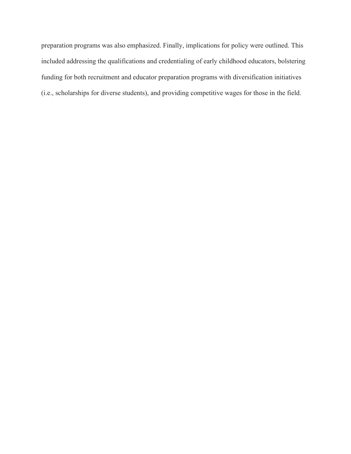preparation programs was also emphasized. Finally, implications for policy were outlined. This included addressing the qualifications and credentialing of early childhood educators, bolstering funding for both recruitment and educator preparation programs with diversification initiatives (i.e., scholarships for diverse students), and providing competitive wages for those in the field.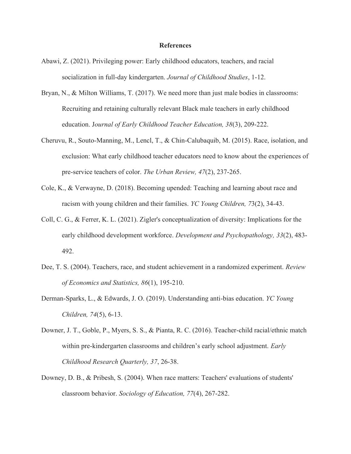#### **References**

- Abawi, Z. (2021). Privileging power: Early childhood educators, teachers, and racial socialization in full-day kindergarten. *Journal of Childhood Studies*, 1-12.
- Bryan, N., & Milton Williams, T. (2017). We need more than just male bodies in classrooms: Recruiting and retaining culturally relevant Black male teachers in early childhood education. J*ournal of Early Childhood Teacher Education, 38*(3), 209-222.
- Cheruvu, R., Souto-Manning, M., Lencl, T., & Chin-Calubaquib, M. (2015). Race, isolation, and exclusion: What early childhood teacher educators need to know about the experiences of pre-service teachers of color. *The Urban Review, 47*(2), 237-265.
- Cole, K., & Verwayne, D. (2018). Becoming upended: Teaching and learning about race and racism with young children and their families. *YC Young Children, 7*3(2), 34-43.
- Coll, C. G., & Ferrer, K. L. (2021). Zigler's conceptualization of diversity: Implications for the early childhood development workforce. *Development and Psychopathology, 33*(2), 483- 492.
- Dee, T. S. (2004). Teachers, race, and student achievement in a randomized experiment. *Review of Economics and Statistics, 86*(1), 195-210.
- Derman-Sparks, L., & Edwards, J. O. (2019). Understanding anti-bias education. *YC Young Children, 74*(5), 6-13.
- Downer, J. T., Goble, P., Myers, S. S., & Pianta, R. C. (2016). Teacher-child racial/ethnic match within pre-kindergarten classrooms and children's early school adjustment. *Early Childhood Research Quarterly, 37*, 26-38.
- Downey, D. B., & Pribesh, S. (2004). When race matters: Teachers' evaluations of students' classroom behavior. *Sociology of Education, 77*(4), 267-282.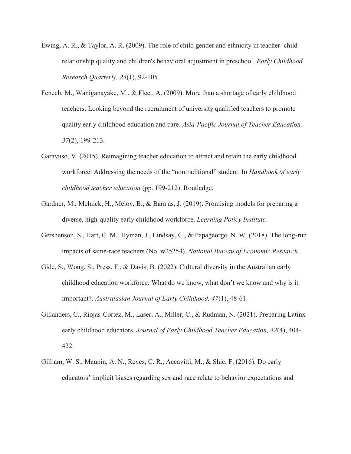- Ewing, A. R., & Taylor, A. R. (2009). The role of child gender and ethnicity in teacher–child relationship quality and children's behavioral adjustment in preschool. *Early Childhood Research Quarterly, 24*(1), 92-105.
- Fenech, M., Waniganayake, M., & Fleet, A. (2009). More than a shortage of early childhood teachers: Looking beyond the recruitment of university qualified teachers to promote quality early childhood education and care. *Asia-Pacific Journal of Teacher Education, 37*(2), 199-213.
- Garavuso, V. (2015). Reimagining teacher education to attract and retain the early childhood workforce: Addressing the needs of the "nontraditional" student. In *Handbook of early childhood teacher education* (pp. 199-212). Routledge.
- Gardner, M., Melnick, H., Meloy, B., & Barajas, J. (2019). Promising models for preparing a diverse, high-quality early childhood workforce. *Learning Policy Institute.*
- Gershenson, S., Hart, C. M., Hyman, J., Lindsay, C., & Papageorge, N. W. (2018). The long-run impacts of same-race teachers (No. w25254). *National Bureau of Economic Research*.
- Gide, S., Wong, S., Press, F., & Davis, B. (2022). Cultural diversity in the Australian early childhood education workforce: What do we know, what don't we know and why is it important?. *Australasian Journal of Early Childhood, 47*(1), 48-61.
- Gillanders, C., Riojas-Cortez, M., Laser, A., Miller, C., & Rudman, N. (2021). Preparing Latinx early childhood educators. *Journal of Early Childhood Teacher Education, 42*(4), 404- 422.
- Gilliam, W. S., Maupin, A. N., Reyes, C. R., Accavitti, M., & Shic, F. (2016). Do early educators' implicit biases regarding sex and race relate to behavior expectations and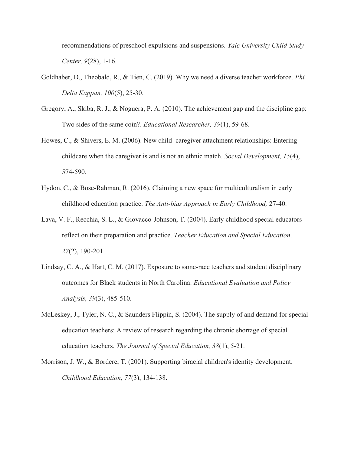recommendations of preschool expulsions and suspensions. *Yale University Child Study Center, 9*(28), 1-16.

- Goldhaber, D., Theobald, R., & Tien, C. (2019). Why we need a diverse teacher workforce. *Phi Delta Kappan, 100*(5), 25-30.
- Gregory, A., Skiba, R. J., & Noguera, P. A. (2010). The achievement gap and the discipline gap: Two sides of the same coin?. *Educational Researcher, 39*(1), 59-68.
- Howes, C., & Shivers, E. M. (2006). New child–caregiver attachment relationships: Entering childcare when the caregiver is and is not an ethnic match. *Social Development, 15*(4), 574-590.
- Hydon, C., & Bose-Rahman, R. (2016). Claiming a new space for multiculturalism in early childhood education practice. *The Anti-bias Approach in Early Childhood,* 27-40.
- Lava, V. F., Recchia, S. L., & Giovacco-Johnson, T. (2004). Early childhood special educators reflect on their preparation and practice. *Teacher Education and Special Education, 27*(2), 190-201.
- Lindsay, C. A., & Hart, C. M. (2017). Exposure to same-race teachers and student disciplinary outcomes for Black students in North Carolina. *Educational Evaluation and Policy Analysis, 39*(3), 485-510.
- McLeskey, J., Tyler, N. C., & Saunders Flippin, S. (2004). The supply of and demand for special education teachers: A review of research regarding the chronic shortage of special education teachers. *The Journal of Special Education, 38*(1), 5-21.
- Morrison, J. W., & Bordere, T. (2001). Supporting biracial children's identity development. *Childhood Education, 77*(3), 134-138.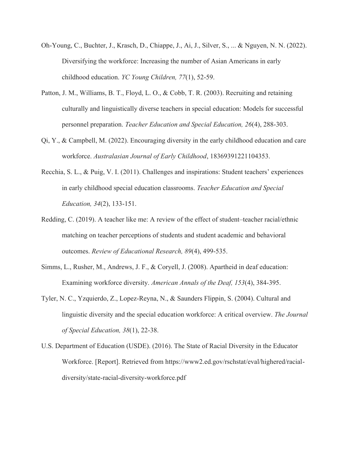- Oh-Young, C., Buchter, J., Krasch, D., Chiappe, J., Ai, J., Silver, S., ... & Nguyen, N. N. (2022). Diversifying the workforce: Increasing the number of Asian Americans in early childhood education. *YC Young Children, 77*(1), 52-59.
- Patton, J. M., Williams, B. T., Floyd, L. O., & Cobb, T. R. (2003). Recruiting and retaining culturally and linguistically diverse teachers in special education: Models for successful personnel preparation. *Teacher Education and Special Education, 26*(4), 288-303.
- $Qi, Y, \&$  Campbell, M. (2022). Encouraging diversity in the early childhood education and care workforce. *Australasian Journal of Early Childhood*, 18369391221104353.
- Recchia, S. L., & Puig, V. I. (2011). Challenges and inspirations: Student teachers' experiences in early childhood special education classrooms. *Teacher Education and Special Education, 34*(2), 133-151.
- Redding, C. (2019). A teacher like me: A review of the effect of student–teacher racial/ethnic matching on teacher perceptions of students and student academic and behavioral outcomes. *Review of Educational Research, 89*(4), 499-535.
- Simms, L., Rusher, M., Andrews, J. F., & Coryell, J. (2008). Apartheid in deaf education: Examining workforce diversity. *American Annals of the Deaf, 153*(4), 384-395.
- Tyler, N. C., Yzquierdo, Z., Lopez-Reyna, N., & Saunders Flippin, S. (2004). Cultural and linguistic diversity and the special education workforce: A critical overview. *The Journal of Special Education, 38*(1), 22-38.
- U.S. Department of Education (USDE). (2016). The State of Racial Diversity in the Educator Workforce. [Report]. Retrieved from https://www2.ed.gov/rschstat/eval/highered/racialdiversity/state-racial-diversity-workforce.pdf